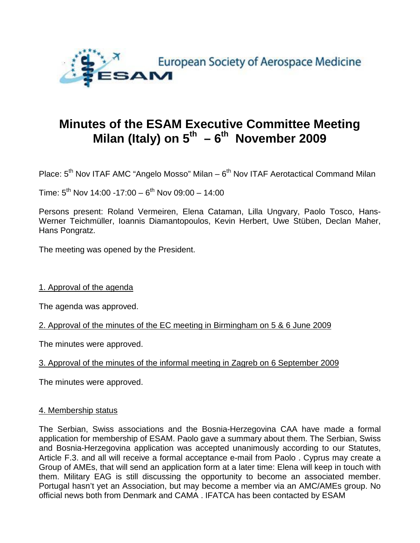

# **Minutes of the ESAM Executive Committee Meeting**  Milan (Italy) on 5<sup>th</sup> – 6<sup>th</sup> November 2009

Place:  $5<sup>th</sup>$  Nov ITAF AMC "Angelo Mosso" Milan –  $6<sup>th</sup>$  Nov ITAF Aerotactical Command Milan

Time:  $5^{th}$  Nov 14:00 -17:00 -  $6^{th}$  Nov 09:00 - 14:00

Persons present: Roland Vermeiren, Elena Cataman, Lilla Ungvary, Paolo Tosco, Hans-Werner Teichmüller, Ioannis Diamantopoulos, Kevin Herbert, Uwe Stüben, Declan Maher, Hans Pongratz.

The meeting was opened by the President.

1. Approval of the agenda

The agenda was approved.

2. Approval of the minutes of the EC meeting in Birmingham on 5 & 6 June 2009

The minutes were approved.

#### 3. Approval of the minutes of the informal meeting in Zagreb on 6 September 2009

The minutes were approved.

#### 4. Membership status

The Serbian, Swiss associations and the Bosnia-Herzegovina CAA have made a formal application for membership of ESAM. Paolo gave a summary about them. The Serbian, Swiss and Bosnia-Herzegovina application was accepted unanimously according to our Statutes, Article F.3. and all will receive a formal acceptance e-mail from Paolo . Cyprus may create a Group of AMEs, that will send an application form at a later time: Elena will keep in touch with them. Military EAG is still discussing the opportunity to become an associated member. Portugal hasn't yet an Association, but may become a member via an AMC/AMEs group. No official news both from Denmark and CAMA . IFATCA has been contacted by ESAM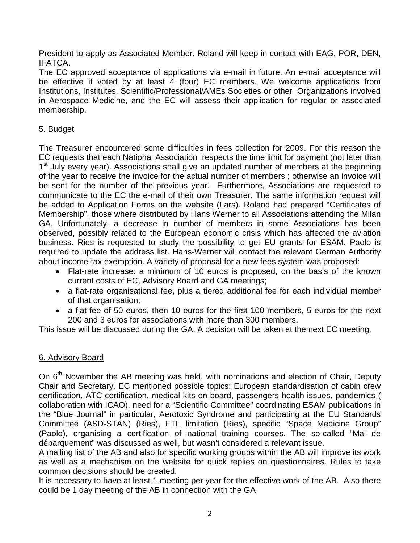President to apply as Associated Member. Roland will keep in contact with EAG, POR, DEN, IFATCA.

The EC approved acceptance of applications via e-mail in future. An e-mail acceptance will be effective if voted by at least 4 (four) EC members. We welcome applications from Institutions, Institutes, Scientific/Professional/AMEs Societies or other Organizations involved in Aerospace Medicine, and the EC will assess their application for regular or associated membership.

### 5. Budget

The Treasurer encountered some difficulties in fees collection for 2009. For this reason the EC requests that each National Association respects the time limit for payment (not later than 1<sup>st</sup> July every year). Associations shall give an updated number of members at the beginning of the year to receive the invoice for the actual number of members ; otherwise an invoice will be sent for the number of the previous year. Furthermore, Associations are requested to communicate to the EC the e-mail of their own Treasurer. The same information request will be added to Application Forms on the website (Lars). Roland had prepared "Certificates of Membership", those where distributed by Hans Werner to all Associations attending the Milan GA. Unfortunately, a decrease in number of members in some Associations has been observed, possibly related to the European economic crisis which has affected the aviation business. Ries is requested to study the possibility to get EU grants for ESAM. Paolo is required to update the address list. Hans-Werner will contact the relevant German Authority about income-tax exemption. A variety of proposal for a new fees system was proposed:

- Flat-rate increase: a minimum of 10 euros is proposed, on the basis of the known current costs of EC, Advisory Board and GA meetings;
- a flat-rate organisational fee, plus a tiered additional fee for each individual member of that organisation;
- a flat-fee of 50 euros, then 10 euros for the first 100 members, 5 euros for the next 200 and 3 euros for associations with more than 300 members.

This issue will be discussed during the GA. A decision will be taken at the next EC meeting.

#### 6. Advisory Board

On 6<sup>th</sup> November the AB meeting was held, with nominations and election of Chair, Deputy Chair and Secretary. EC mentioned possible topics: European standardisation of cabin crew certification, ATC certification, medical kits on board, passengers health issues, pandemics ( collaboration with ICAO), need for a "Scientific Committee" coordinating ESAM publications in the "Blue Journal" in particular, Aerotoxic Syndrome and participating at the EU Standards Committee (ASD-STAN) (Ries), FTL limitation (Ries), specific "Space Medicine Group" (Paolo), organising a certification of national training courses. The so-called "Mal de débarquement" was discussed as well, but wasn't considered a relevant issue.

A mailing list of the AB and also for specific working groups within the AB will improve its work as well as a mechanism on the website for quick replies on questionnaires. Rules to take common decisions should be created.

It is necessary to have at least 1 meeting per year for the effective work of the AB. Also there could be 1 day meeting of the AB in connection with the GA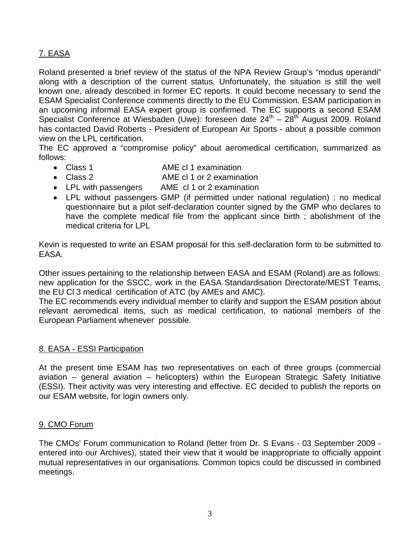## 7. EASA

Roland presented a brief review of the status of the NPA Review Group's "modus operandi" along with a description of the current status. Unfortunately, the situation is still the well known one, already described in former EC reports. It could become necessary to send the ESAM Specialist Conference comments directly to the EU Commission. ESAM participation in an upcoming informal EASA expert group is confirmed. The EC supports a second ESAM Specialist Conference at Wiesbaden (Uwe): foreseen date  $24<sup>th</sup> - 28<sup>th</sup>$  August 2009. Roland has contacted David Roberts - President of European Air Sports - about a possible common view on the LPL certification.

The EC approved a "compromise policy" about aeromedical certification, summarized as follows:

- Class 1 AME cl 1 examination
- Class 2 AME cl 1 or 2 examination
- LPL with passengers AME cl 1 or 2 examination
- LPL without passengers GMP (if permitted under national regulation) ; no medical questionnaire but a pilot self-declaration counter signed by the GMP who declares to have the complete medical file from the applicant since birth ; abolishment of the medical criteria for LPL

Kevin is requested to write an ESAM proposal for this self-declaration form to be submitted to EASA.

Other issues pertaining to the relationship between EASA and ESAM (Roland) are as follows: new application for the SSCC, work in the EASA Standardisation Directorate/MEST Teams, the EU Cl 3 medical certification of ATC (by AMEs and AMC).

The EC recommends every individual member to clarify and support the ESAM position about relevant aeromedical items, such as medical certification, to national members of the European Parliament whenever possible.

#### 8. EASA - ESSI Participation

At the present time ESAM has two representatives on each of three groups (commercial aviation – general aviation – helicopters) within the European Strategic Safety Initiative (ESSI). Their activity was very interesting and effective. EC decided to publish the reports on our ESAM website, for login owners only.

#### 9. CMO Forum

The CMOs' Forum communication to Roland (letter from Dr. S Evans - 03 September 2009 entered into our Archives), stated their view that it would be inappropriate to officially appoint mutual representatives in our organisations. Common topics could be discussed in combined meetings.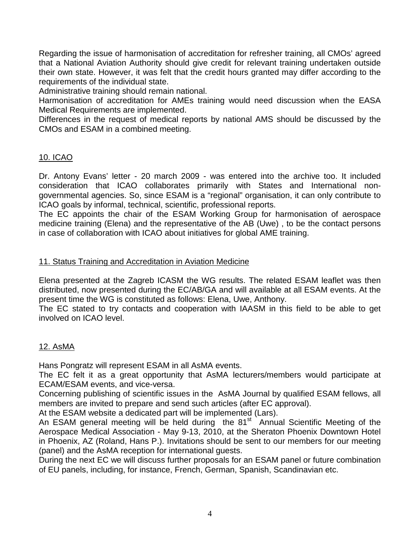Regarding the issue of harmonisation of accreditation for refresher training, all CMOs' agreed that a National Aviation Authority should give credit for relevant training undertaken outside their own state. However, it was felt that the credit hours granted may differ according to the requirements of the individual state.

Administrative training should remain national.

Harmonisation of accreditation for AMEs training would need discussion when the EASA Medical Requirements are implemented.

Differences in the request of medical reports by national AMS should be discussed by the CMOs and ESAM in a combined meeting.

### 10. ICAO

Dr. Antony Evans' letter - 20 march 2009 - was entered into the archive too. It included consideration that ICAO collaborates primarily with States and International nongovernmental agencies. So, since ESAM is a "regional" organisation, it can only contribute to ICAO goals by informal, technical, scientific, professional reports.

The EC appoints the chair of the ESAM Working Group for harmonisation of aerospace medicine training (Elena) and the representative of the AB (Uwe) , to be the contact persons in case of collaboration with ICAO about initiatives for global AME training.

#### 11. Status Training and Accreditation in Aviation Medicine

Elena presented at the Zagreb ICASM the WG results. The related ESAM leaflet was then distributed, now presented during the EC/AB/GA and will available at all ESAM events. At the present time the WG is constituted as follows: Elena, Uwe, Anthony.

The EC stated to try contacts and cooperation with IAASM in this field to be able to get involved on ICAO level.

#### 12. AsMA

Hans Pongratz will represent ESAM in all AsMA events.

The EC felt it as a great opportunity that AsMA lecturers/members would participate at ECAM/ESAM events, and vice-versa.

Concerning publishing of scientific issues in the AsMA Journal by qualified ESAM fellows, all members are invited to prepare and send such articles (after EC approval).

At the ESAM website a dedicated part will be implemented (Lars).

An ESAM general meeting will be held during the  $81<sup>st</sup>$  Annual Scientific Meeting of the Aerospace Medical Association - May 9-13, 2010, at the Sheraton Phoenix Downtown Hotel in Phoenix, AZ (Roland, Hans P.). Invitations should be sent to our members for our meeting (panel) and the AsMA reception for international guests.

During the next EC we will discuss further proposals for an ESAM panel or future combination of EU panels, including, for instance, French, German, Spanish, Scandinavian etc.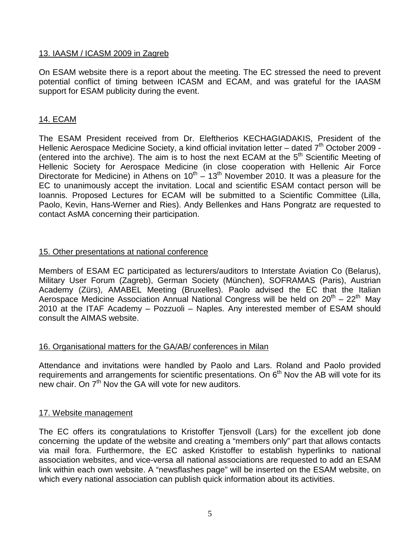### 13. IAASM / ICASM 2009 in Zagreb

On ESAM website there is a report about the meeting. The EC stressed the need to prevent potential conflict of timing between ICASM and ECAM, and was grateful for the IAASM support for ESAM publicity during the event.

#### 14. ECAM

The ESAM President received from Dr. Eleftherios KECHAGIADAKIS, President of the Hellenic Aerospace Medicine Society, a kind official invitation letter – dated  $7<sup>th</sup>$  October 2009 -(entered into the archive). The aim is to host the next ECAM at the 5<sup>th</sup> Scientific Meeting of Hellenic Society for Aerospace Medicine (in close cooperation with Hellenic Air Force Directorate for Medicine) in Athens on  $10^{th} - 13^{th}$  November 2010. It was a pleasure for the EC to unanimously accept the invitation. Local and scientific ESAM contact person will be Ioannis. Proposed Lectures for ECAM will be submitted to a Scientific Committee (Lilla, Paolo, Kevin, Hans-Werner and Ries). Andy Bellenkes and Hans Pongratz are requested to contact AsMA concerning their participation.

### 15. Other presentations at national conference

Members of ESAM EC participated as lecturers/auditors to Interstate Aviation Co (Belarus), Military User Forum (Zagreb), German Society (München), SOFRAMAS (Paris), Austrian Academy (Zürs), AMABEL Meeting (Bruxelles). Paolo advised the EC that the Italian Aerospace Medicine Association Annual National Congress will be held on  $20^{th} - 22^{th}$  May 2010 at the ITAF Academy – Pozzuoli – Naples. Any interested member of ESAM should consult the AIMAS website.

#### 16. Organisational matters for the GA/AB/ conferences in Milan

Attendance and invitations were handled by Paolo and Lars. Roland and Paolo provided requirements and arrangements for scientific presentations. On  $6<sup>th</sup>$  Nov the AB will vote for its new chair. On  $7<sup>th</sup>$  Nov the GA will vote for new auditors.

#### 17. Website management

The EC offers its congratulations to Kristoffer Tjensvoll (Lars) for the excellent job done concerning the update of the website and creating a "members only" part that allows contacts via mail fora. Furthermore, the EC asked Kristoffer to establish hyperlinks to national association websites, and vice-versa all national associations are requested to add an ESAM link within each own website. A "newsflashes page" will be inserted on the ESAM website, on which every national association can publish quick information about its activities.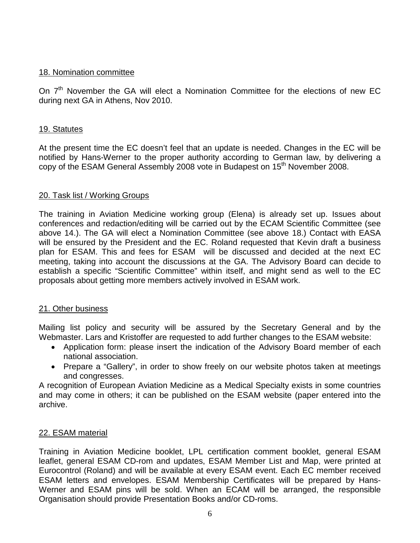#### 18. Nomination committee

On 7<sup>th</sup> November the GA will elect a Nomination Committee for the elections of new EC during next GA in Athens, Nov 2010.

### 19. Statutes

At the present time the EC doesn't feel that an update is needed. Changes in the EC will be notified by Hans-Werner to the proper authority according to German law, by delivering a copy of the ESAM General Assembly 2008 vote in Budapest on 15<sup>th</sup> November 2008.

## 20. Task list / Working Groups

The training in Aviation Medicine working group (Elena) is already set up. Issues about conferences and redaction/editing will be carried out by the ECAM Scientific Committee (see above 14.). The GA will elect a Nomination Committee (see above 18.) Contact with EASA will be ensured by the President and the EC. Roland requested that Kevin draft a business plan for ESAM. This and fees for ESAM will be discussed and decided at the next EC meeting, taking into account the discussions at the GA. The Advisory Board can decide to establish a specific "Scientific Committee" within itself, and might send as well to the EC proposals about getting more members actively involved in ESAM work.

#### 21. Other business

Mailing list policy and security will be assured by the Secretary General and by the Webmaster. Lars and Kristoffer are requested to add further changes to the ESAM website:

- Application form: please insert the indication of the Advisory Board member of each national association.
- Prepare a "Gallery", in order to show freely on our website photos taken at meetings and congresses.

A recognition of European Aviation Medicine as a Medical Specialty exists in some countries and may come in others; it can be published on the ESAM website (paper entered into the archive.

## 22. ESAM material

Training in Aviation Medicine booklet, LPL certification comment booklet, general ESAM leaflet, general ESAM CD-rom and updates, ESAM Member List and Map, were printed at Eurocontrol (Roland) and will be available at every ESAM event. Each EC member received ESAM letters and envelopes. ESAM Membership Certificates will be prepared by Hans-Werner and ESAM pins will be sold. When an ECAM will be arranged, the responsible Organisation should provide Presentation Books and/or CD-roms.